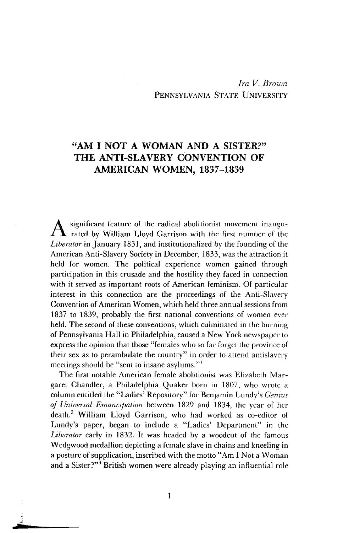## *Ira V. Brown* PENNSYLVANIA STATE UNIVERSITY

## "AM I NOT A WOMAN AND A SISTER?" THE ANTI-SLAVERY CONVENTION OF AMERICAN WOMEN, 1837-1839

significant feature of the radical abolitionist movement inaugurated by William Lloyd Garrison with the first number of the *Liberator* in January 1831, and institutionalized by the founding of the American Anti-Slavery Society in December, 1833, was the attraction it held for women. The political experience women gained through participation in this crusade and the hostility they faced in connection with it served as important roots of American feminism. Of particular interest in this connection are the proceedings of the Anti-Slavery Convention of American Women, which held three annual sessions from 1837 to 1839, probably the first national conventions of women ever held. The second of these conventions, which culminated in the burning of Pennsylvania Hall in Philadelphia, caused a New York newspaper to express the opinion that those "females who so far forget the province of their sex as to perambulate the country" in order to attend antislavery meetings should be "sent to insane asylums."'

The first notable American female abolitionist was Elizabeth Margaret Chandler, a Philadelphia Quaker born in 1807, who wrote a column entitled the "Ladies' Repository" for Benjamin Lundy's *Genius of Universal Emancipation* between 1829 and 1834, the year of her death.2 William Lloyd Garrison, who had worked as co-editor of Lundy's paper, began to include a "Ladies' Department" in the *Liberator* early in 1832. It was headed by a woodcut of the famous Wedgwood medallion depicting a female slave in chains and kneeling in a posture of supplication, inscribed with the motto "Am I Not a Woman and a Sister?"<sup>3</sup> British women were already playing an influential role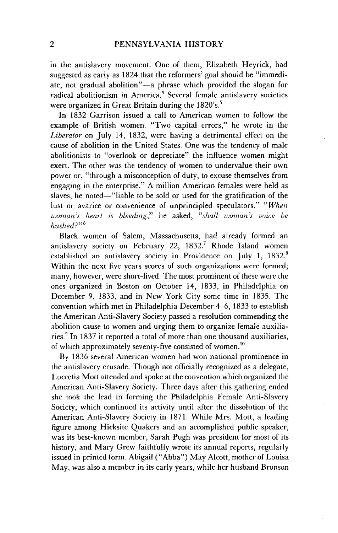in the antislavery movement. One of them, Elizabeth Heyrick, had suggested as early as 1824 that the reformers' goal should be "immediate, not gradual abolition"-a phrase which provided the slogan for radical abolitionism in America.<sup>4</sup> Several female antislavery societies were organized in Great Britain during the 1820's.<sup>5</sup>

In 1832 Garrison issued a call to American women to follow the example of British women. "Two capital errors," he wrote in the *Liberator* on July 14, 1832, were having a detrimental effect on the cause of abolition in the United States. One was the tendency of male abolitionists to "overlook or depreciate" the influence women might exert. The other was the tendency of women to undervalue their own power or, "through a misconception of duty, to excuse themselves from engaging in the enterprise." A million American females were held as slaves, he noted—"liable to be sold or used for the gratification of the lust or avarice or convenience of unprincipled speculators." *"When woman's heart is bleeding,"* he asked, *"shall woman's voice be hushed?"6*

Black women of Salem, Massachusetts, had already formed an antislavery society on February 22, 1832.7 Rhode Island women established an antislavery society in Providence on July 1, 1832.8 Within the next five years scores of such organizations were formed; many, however, were short-lived. The most prominent of these were the ones organized in Boston on October 14, 1833, in Philadelphia on December 9, 1833, and in New York City some time in 1835. The convention which met in Philadelphia December 4-6, 1833 to establish the American Anti-Slavery Society passed a resolution commending the abolition cause to women and urging them to organize female auxiliaries.<sup>9</sup> In 1837 it reported a total of more than one thousand auxiliaries, of which approximately seventy-five consisted of women.<sup>10</sup>

By 1836 several American women had won national prominence in the antislavery crusade. Though not officially recognized as a delegate, Lucretia Mott attended and spoke at the convention which organized the American Anti-Slavery Society. Three days after this gathering ended she took the lead in forming the Philadelphia Female Anti-Slavery Society, which continued its activity until after the dissolution of the American Anti-Slavery Society in 1871. While Mrs. Mott, a leading figure among Hicksite Quakers and an accomplished public speaker, was its best-known member, Sarah Pugh was president for most of its history, and Mary Grew faithfully wrote its annual reports, regularly issued in printed form. Abigail ("Abba") May Alcott, mother of Louisa May, was also a member in its early years, while her husband Bronson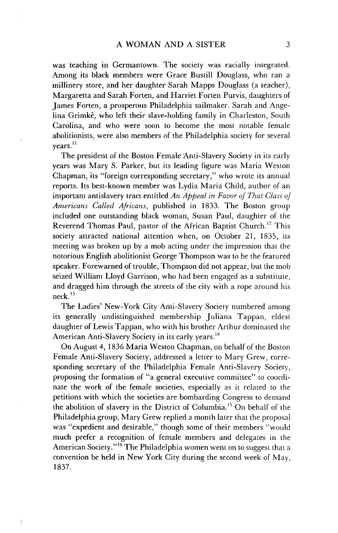was teaching in Germantown. The society was racially integrated. Among its black members were Grace Bustill Douglass, who ran a millinery store, and her daughter Sarah Mapps Douglass (a teacher), Margaretta and Sarah Forten, and Harriet Forten Purvis, daughters of James Forten, a prosperous Philadelphia sailmaker. Sarah and Angelina Grimk6, who left their slave-holding family in Charleston, South Carolina, and who were soon to become the most notable female abolitionists, were also members of the Philadelphia society for several vears.<sup>11</sup>

The president of the Boston Female Anti-Slavery Society in its early years was Mary S. Parker, but its leading figure was Maria Weston Chapman, its "foreign corresponding secretary," who wrote its annual reports. Its best-known member was Lydia Maria Child, author of an important antislavery tract entitled *An Appeal in Favor of That Class of Americans Called Africans,* published in 1833. The Boston group included one outstanding black woman, Susan Paul, daughter of the Reverend Thomas Paul, pastor of the African Baptist Church.<sup>12</sup> This society attracted national attention when, on October 21, 1835, its meeting was broken up by a mob acting under the impression that the notorious English abolitionist George Thompson was to be the featured speaker. Forewarned of trouble, Thompson did not appear, but the mob seized William Lloyd Garrison, who had been engaged as a substitute, and dragged him through the streets of the city with a rope around his  $neck<sup>13</sup>$ 

The Ladies' New-York City Anti-Slavery Society numbered among its generally undistinguished membership Juliana Tappan, eldest daughter of Lewis Tappan, who with his brother Arthur dominated the American Anti-Slavery Society in its early years.<sup>14</sup>

On August 4, 1836 Maria Weston Chapman, on behalf of the Boston Female Anti-Slavery Society, addressed a letter to Mary Grew, corresponding secretary of the Philadelphia Female Anti-Slavery Society, proposing the formation of "a general executive committee" to coordinate the work of the female societies, especially as it related to the petitions with which the societies are bombarding Congress to demand the abolition of slavery in the District of Columbia.<sup>15</sup> On behalf of the Philadelphia group, Mary Grew replied a month later that the proposal was "expedient and desirable," though some of their members "would much prefer a recognition of female members and delegates in the American Society."<sup>16</sup> The Philadelphia women went on to suggest that a convention be held in New York City during the second week of May, 1837.

 $\mathbb{R}^2$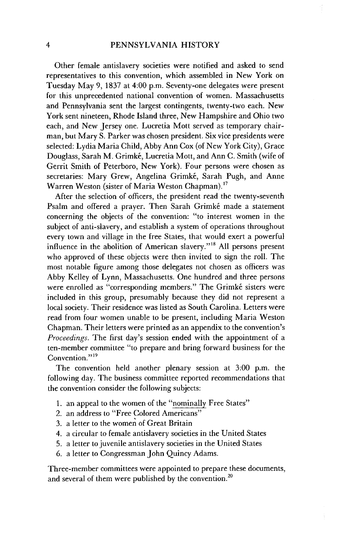Other female antislavery societies were notified and asked to send representatives to this convention, which assembled in New York on Tuesday May 9, 1837 at 4:00 p.m. Seventy-one delegates were present for this unprecedented national convention of women. Massachusetts and Pennsylvania sent the largest contingents, twenty-two each. New York sent nineteen, Rhode Island three, New Hampshire and Ohio two each, and New Jersey one. Lucretia Mott served as temporary chairman, but Mary S. Parker was chosen president. Six vice presidents were selected: Lydia Maria Child, Abby Ann Cox (of New York City), Grace Douglass, Sarah M. Grimké, Lucretia Mott, and Ann C. Smith (wife of Gerrit Smith of Peterboro, New York). Four persons were chosen as secretaries: Mary Grew, Angelina Grimké, Sarah Pugh, and Anne Warren Weston (sister of Maria Weston Chapman). <sup>17</sup>

After the selection of officers, the president read the twenty-seventh Psalm and offered a prayer. Then Sarah Grimké made a statement concerning the objects of the convention: "to interest women in the subject of anti-slavery, and establish a system of operations throughout every town and village in the free States, that would exert a powerful influence in the abolition of American slavery."'8 All persons present who approved of these objects were then invited to sign the roll. The most notable figure among those delegates not chosen as officers was Abby Kelley of Lynn, Massachusetts. One hundred and three persons were enrolled as "corresponding members." The Grimké sisters were included in this group, presumably because they did not represent a local society. Their residence was listed as South Carolina. Letters were read from four women unable to be present, including Maria Weston Chapman. Their letters were printed as an appendix to the convention's *Proceedings.* The first day's session ended with the appointment of a ten-member committee "to prepare and bring forward business for the Convention."<sup>19</sup>

The convention held another plenary session at 3:00 p.m. the following day. The business committee reported recommendations that the convention consider the following subjects:

- 1. an appeal to the women of the "nominally Free States"
- 2. an address to "Free Colored Americans"
- 3. a letter to the women of Great Britain
- 4. a circular to female antislavery societies in the United States
- 5. a letter to juvenile antislavery societies in the United States
- 6. a letter to Congressman John Quincy Adams.

Three-member committees were appointed to prepare these documents, and several of them were published by the convention.<sup>20</sup>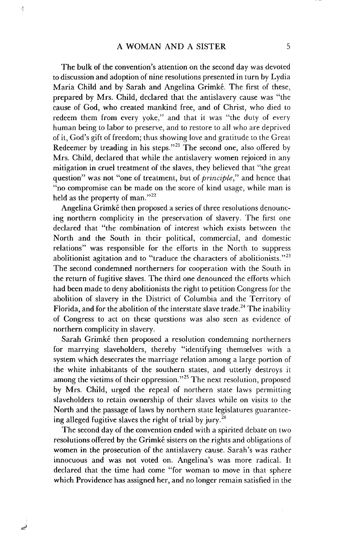The bulk of the convention's attention on the second day was devoted to discussion and adoption of nine resolutions presented in turn by Lydia Maria Child and by Sarah and Angelina Grimké. The first of these, prepared by Mrs. Child, declared that the antislavery cause was "the cause of God, who created mankind free, and of Christ, who died to redeem them from every yoke," and that it was "the duty of every human being to labor to preserve, and to restore to all who are deprived of it, God's gift of freedom; thus showing love and gratitude to the Great Redeemer by treading in his steps."<sup>21</sup> The second one, also offered by Mrs. Child, declared that while the antislavery women rejoiced in any mitigation in cruel treatment of the slaves, they believed that "the great question" was not "one of treatment, but of *principle,"* and hence that "no compromise can be made on the score of kind usage, while man is held as the property of man."<sup>22</sup>

Angelina Grimké then proposed a series of three resolutions denouncing northern complicity in the preservation of slavery. The first one declared that "the combination of interest which exists between the North and the South in their political, commercial, and domestic relations" was responsible for the efforts in the North to suppress abolitionist agitation and to "traduce the characters of abolitionists."<sup>23</sup> The second condemned northerners for cooperation with the South in the return of fugitive slaves. The third one denounced the efforts which had been made to deny abolitionists the right to petition Congress for the abolition of slavery in the District of Columbia and the Territory of Florida, and for the abolition of the interstate slave trade.<sup>24</sup> The inability of Congress to act on these questions was also seen as evidence of northern complicity in slavery.

Sarah Grimké then proposed a resolution condemning northerners for marrying slaveholders, thereby "identifying themselves with a system which desecrates the marriage relation among a large portion of the white inhabitants of the southern states, and utterly destroys it among the victims of their oppression."<sup>25</sup> The next resolution, proposed by Mrs. Child, urged the repeal of northern state laws permitting slaveholders to retain ownership of their slaves while on visits to the North and the passage of laws by northern state legislatures guaranteeing alleged fugitive slaves the right of trial by jury.<sup>26</sup>

The second day of the convention ended with a spirited debate on two resolutions offered by the Grimké sisters on the rights and obligations of women in the prosecution of the antislavery cause. Sarah's was rather innocuous and was not voted on. Angelina's was more radical. It declared that the time had come "for woman to move in that sphere which Providence has assigned her, and no longer remain satisfied in the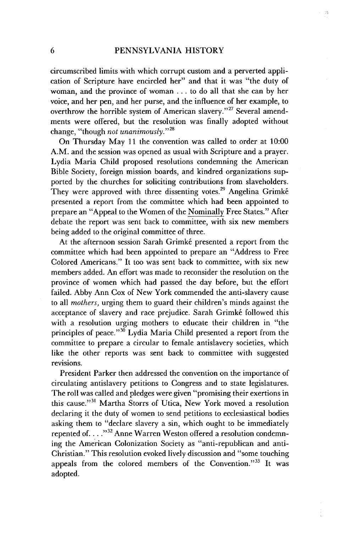$\gamma\hat{\gamma}$ 

circumscribed limits with which corrupt custom and a perverted application of Scripture have encircled her" and that it was "the duty of woman, and the province of woman ... to do all that she can by her voice, and her pen, and her purse, and the influence of her example, to overthrow the horrible system of American slavery."<sup>27</sup> Several amendments were offered, but the resolution was finally adopted without change, "though *not unanimously.""*

On Thursday May 11 the convention was called to order at 10:00 A.M. and the session was opened as usual with Scripture and a prayer. Lydia Maria Child proposed resolutions condemning the American Bible Society, foreign mission boards, and kindred organizations supported by the churches for soliciting contributions from slaveholders. They were approved with three dissenting votes.<sup>29</sup> Angelina Grimké presented a report from the committee which had been appointed to prepare an "Appeal to the Women of the Nominally Free States." After debate the report was sent back to committee, with six new members being added to the original committee of three.

At the afternoon session Sarah Grimké presented a report from the committee which had been appointed to prepare an "Address to Free Colored Americans." It too was sent back to committee, with six new members added. An effort was made to reconsider the resolution on the province of women which had passed the day before, but the effort failed. Abby Ann Cox of New York commended the anti-slavery cause to all *mothers,* urging them to guard their children's minds against the acceptance of slavery and race prejudice. Sarah Grimké followed this with a resolution urging mothers to educate their children in "the principles of peace."<sup>30</sup> Lydia Maria Child presented a report from the committee to prepare a circular to female antislavery societies, which like the other reports was sent back to committee with suggested revisions.

President Parker then addressed the convention on the importance of circulating antislavery petitions to Congress and to state legislatures. The roll was called and pledges were given "promising their exertions in this cause."3' Martha Storrs of Utica, New York moved a resolution declaring it the duty of women to send petitions to ecclesiastical bodies asking them to "declare slavery a sin, which ought to be immediately repented of...."<sup>32</sup> Anne Warren Weston offered a resolution condemning the American Colonization Society as "anti-republican and anti-Christian." This resolution evoked lively discussion and "some touching appeals from the colored members of the Convention."33 It was adopted.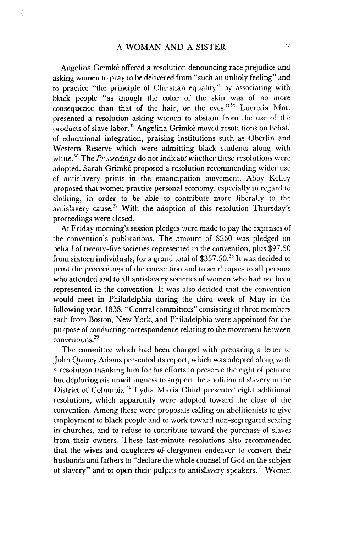Angelina Grimké offered a resolution denouncing race prejudice and asking women to pray to be delivered from "such an unholy feeling" and to practice "the principle of Christian equality" by associating with black people "as though the color of the skin was of no more consequence than that of the hair, or the eyes."34 Lucretia Mott presented a resolution asking women to abstain from the use of the products of slave labor.<sup>35</sup> Angelina Grimké moved resolutions on behalf of educational integration, praising institutions such as Oberlin and Western Reserve which were admitting black students along with white.<sup>36</sup> The *Proceedings* do not indicate whether these resolutions were adopted. Sarah Grimké proposed a resolution recommending wider use of antislavery prints in the emancipation movement. Abby Kelley proposed that women practice personal economy, especially in regard to clothing, in order to be able to contribute more liberally to the antislavery cause.<sup>37</sup> With the adoption of this resolution Thursday's proceedings were closed.

At Friday morning's session pledges were made to pay the expenses of the convention's publications. The amount of \$260 was pledged on behalf of twenty-five societies represented in the convention, plus \$97.50 from sixteen individuals, for a grand total of \$357.50.<sup>38</sup> It was decided to print the proceedings of the convention and to send copies to all persons who attended and to all antislavery societies of women who had not been represented in the convention. It was also decided that the convention would meet in Philadelphia during the third week of May in the following year, 1838. "Central committees" consisting of three members each from Boston, New York, and Philadelphia were appointed for the purpose of conducting correspondence relating to the movement between conventions.<sup>39</sup>

The committee which had been charged with preparing a letter to John Quincy Adams presented its report, which was adopted along with a resolution thanking him for his efforts to preserve the right of petition but deploring his unwillingness to support the abolition of slavery in the District of Columbia.<sup>40</sup> Lydia Maria Child presented eight additional resolutions, which apparently were adopted toward the close of the convention. Among these were proposals calling on abolitionists to give employment to black people and to work toward non-segregated seating in churches, and to refuse to contribute toward the purchase of slaves from their owners. These last-minute resolutions also recommended that the wives and daughters-of-clergymen endeavor to convert their husbands and fathers to "declare the whole counsel of God on the subject of slavery" and to open their pulpits to antislavery speakers.<sup>41</sup> Women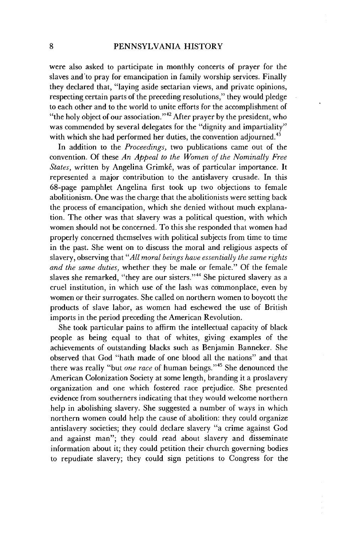were also asked to participate in monthly concerts of prayer for the slaves and to pray for emancipation in family worship services. Finally they declared that, "laying aside sectarian views, and private opinions, respecting certain parts of the preceding resolutions," they would pledge to each other and to the world to unite efforts for the accomplishment of "the holy object of our association."<sup>42</sup> After prayer by the president, who was commended by several delegates for the "dignity and impartiality" with which she had performed her duties, the convention adjourned.<sup>43</sup>

In addition to the *Proceedings,* two publications came out of the convention. Of these *An Appeal to the Women of the Nominally Free* States, written by Angelina Grimké, was of particular importance. It represented a major contribution to the antislavery crusade. In this <sup>6</sup> 8-page pamphlet Angelina first took up two objections to female abolitionism. One was the charge that the abolitionists were setting back the process of emancipation, which she denied without much explanation. The other was that slavery was a political question, with which women should not be concerned. To this she responded that women had properly concerned themselves with political subjects from time to time in the past. She went on to discuss the moral and religious aspects of slavery, observing that *"All moral beings have essentially the same rights and the same duties,* whether they be male or female." Of the female slaves she remarked, "they are our sisters."<sup>44</sup> She pictured slavery as a cruel institution, in which use of the lash was commonplace, even by women or their surrogates. She called on northern women to boycott the products of slave labor, as women had eschewed the use of British imports in the period preceding the American Revolution.

She took particular pains to affirm the intellectual capacity of black people as being equal to that of whites, giving examples of the achievements of outstanding blacks such as Benjamin Banneker. She observed that God "hath made of one blood all the nations" and that there was really "but *one race* of human beings."<sup>45</sup> She denounced the American Colonization Society at some length, branding it a proslavery organization and one which fostered race prejudice. She presented evidence from southerners indicating that they would welcome northern help in abolishing slavery. She suggested a number of ways in which northern women could help the cause of abolition: they could organize antislavery societies; they could declare slavery "a crime against God and against man"; they could read about slavery and disseminate information about it; they could petition their church governing bodies to repudiate slavery; they could sign petitions to Congress for the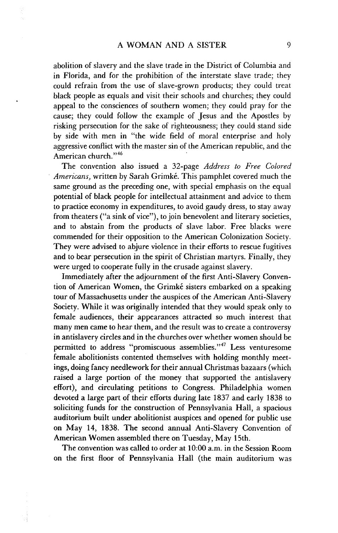abolition of slavery and the slave trade in the District of Columbia and in Florida, and for the prohibition of the interstate slave trade; they could refrain from the use of slave-grown products; they could treat black people as equals and visit their schools and churches; they could appeal to the consciences of southern women; they could pray for the cause; they could follow the example of Jesus and the Apostles by risking persecution for the sake of righteousness; they could stand side by side with men in "the wide field of moral enterprise and holy aggressive conflict with the master sin of the American republic, and the American church."<sup>46</sup>

The convention also issued a 32-page *Address to Free Colored Americans, written by Sarah Grimké. This pamphlet covered much the* same ground as the preceding one, with special emphasis on the equal potential of black people for intellectual attainment and advice to them to practice economy in expenditures, to avoid gaudy dress, to stay away from theaters ("a sink of vice"), to join benevolent and literary societies, and to abstain from the products of slave labor. Free blacks were commended for their opposition to the American Colonization Society. They were advised to abjure violence in their efforts to rescue fugitives and to bear persecution in the spirit of Christian martyrs. Finally, they were urged to cooperate fully in the crusade against slavery.

Immediately after the adjournment of the first Anti-Slavery Convention of American Women, the Grimké sisters embarked on a speaking tour of Massachusetts under the auspices of the American Anti-Slavery Society. While it was originally intended that they would speak only to female audiences, their appearances attracted so much interest that many men came to hear them, and the result was to create a controversy in antislavery circles and in the churches over whether women should be permitted to address "promiscuous assemblies."<sup>47</sup> Less venturesome female abolitionists contented themselves with holding monthly meetings, doing fancy needlework for their annual Christmas bazaars (which raised a large portion of the money that supported the antislavery effort), and circulating petitions to Congress. Philadelphia women devoted a large part of their efforts during late 1837 and early 1838 to soliciting funds for the construction of Pennsylvania Hall, a spacious auditorium built under abolitionist auspices and opened for public use on May 14, 1838. The second annual Anti-Slavery Convention of American Women assembled there on Tuesday, May 15th.

The convention was called to order at 10:00 a.m. in the Session Room on the first floor of Pennsylvania Hall (the main auditorium was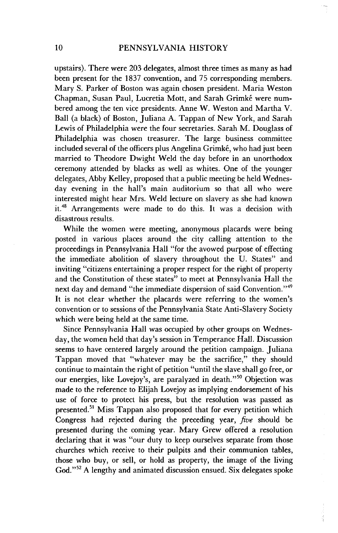upstairs). There were 203 delegates, almost three times as many as had been present for the 1837 convention, and 75 corresponding members. Mary S. Parker of Boston was again chosen president. Maria Weston Chapman, Susan Paul, Lucretia Mott, and Sarah Grimké were numbered among the ten vice presidents. Anne W. Weston and Martha V. Ball (a black) of Boston, Juliana A. Tappan of New York, and Sarah Lewis of Philadelphia were the four secretaries. Sarah M. Douglass of Philadelphia was chosen treasurer. The large business committee included several of the officers plus Angelina Grimké, who had just been married to Theodore Dwight Weld the day before in an unorthodox ceremony attended by blacks as well as whites. One of the younger delegates, Abby Kelley, proposed that a public meeting be held Wednesday evening in the hall's main auditorium so that all who were interested might hear Mrs. Weld lecture on slavery as she had known it.48 Arrangements were made to do this. It was a decision with disastrous results.

While the women were meeting, anonymous placards were being posted in various places around the city calling attention to the proceedings in Pennsylvania Hall "for the avowed purpose of effecting the immediate abolition of slavery throughout the U. States" and inviting "citizens entertaining a proper respect for the right of property and the Constitution of these states" to meet at Pennsylvania Hall the next day and demand "the immediate dispersion of said Convention."<sup>49</sup> It is not clear whether the placards were referring to the women's convention or to sessions of the Pennsylvania State Anti-Slavery Society which were being held at the same time.

Since Pennsylvania Hall was occupied by other groups on Wednesday, the women held that day's session in Temperance Hall. Discussion seems to have centered largely around the petition campaign. Juliana Tappan moved that "whatever may be the sacrifice," they should continue to maintain the right of petition "until the slave shall go free, or our energies, like Lovejov's, are paralyzed in death."<sup>50</sup> Objection was made to the reference to Elijah Lovejoy as implying endorsement of his use of force to protect his press, but the resolution was passed as presented.<sup>51</sup> Miss Tappan also proposed that for every petition which Congress had rejected during the preceding year, five should be presented during the coming year. Mary Grew offered a resolution declaring that it was "our duty to keep ourselves separate from those churches which receive to their pulpits and their communion tables, those who buy, or sell, or hold as property, the image of the living God."<sup>52</sup> A lengthy and animated discussion ensued. Six delegates spoke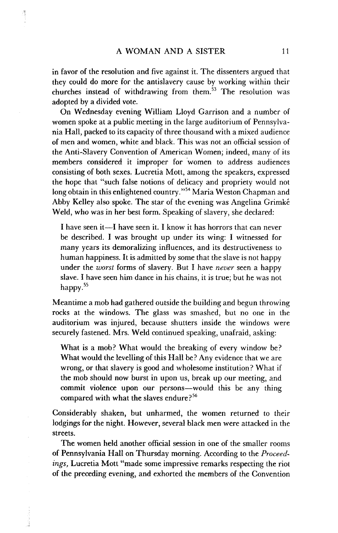in favor of the resolution and five against it. The dissenters argued that they could do more for the antislavery cause by working within their churches instead of withdrawing from them.<sup>53</sup> The resolution was adopted by a divided vote.

On Wednesday evening William Lloyd Garrison and a number of women spoke at a public meeting in the large auditorium of Pennsylvania Hall, packed to its capacity of three thousand with a mixed audience of men and women, white and black. This was not an official session of the Anti-Slavery Convention of American Women; indeed, many of its members considered it improper for women to address audiences consisting of both sexes. Lucretia Mott, among the speakers, expressed the hope that "such false notions of delicacy and propriety would not long obtain in this enlightened country."<sup>54</sup> Maria Weston Chapman and Abby Kelley also spoke. The star of the evening was Angelina Grimke Weld, who was in her best form. Speaking of slavery, she declared:

I have seen it-I have seen it. I know it has horrors that can never be described. I was brought up under its wing: I witnessed for many years its demoralizing influences, and its destructiveness to human happiness. It is admitted by some that the slave is not happy under the *worst* forms of slavery. But I have *never* seen a happy slave. I have seen him dance in his chains, it is true; but he was not happy.<sup>55</sup>

Meantime a mob had gathered outside the building and begun throwing rocks at the windows. The glass was smashed, but no one in the auditorium was injured, because shutters inside the windows were securely fastened. Mrs. Weld continued speaking, unafraid, asking:

What is a mob? What would the breaking of every window be? What would the levelling of this Hall be? Any evidence that we are wrong, or that slavery is good and wholesome institution? What if the mob should now burst in upon us, break up our meeting, and commit violence upon our persons-would this be any thing compared with what the slaves endure?<sup>56</sup>

Considerably shaken, but unharmed, the women returned to their lodgings for the night. However, several black men were attacked in the streets.

The women held another official session in one of the smaller rooms of Pennsylvania Hall on Thursday morning. According to the *Proceedings,* Lucretia Mott "made some impressive remarks respecting the riot of the preceding evening, and exhorted the members of the Convention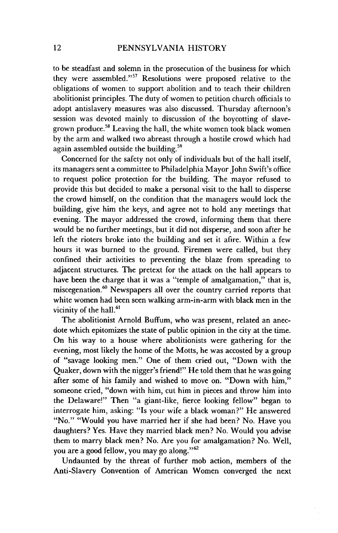to be steadfast and solemn in the prosecution of the business for which they were assembled."<sup>57</sup> Resolutions were proposed relative to the obligations of women to support abolition and to teach their children abolitionist principles. The duty of women to petition church officials to adopt antislavery measures was also discussed. Thursday afternoon's session was devoted mainly to discussion of the boycotting of slavegrown produce.<sup>58</sup> Leaving the hall, the white women took black women by the arm and walked two abreast through a hostile crowd which had again assembled outside the building.<sup>59</sup>

Concerned for the safety not only of individuals but of the hall itself, its managers sent a committee to Philadelphia Mayor John Swift's office to request police protection for the building. The mayor refused to provide this but decided to make a personal visit to the hall to disperse the crowd himself, on the condition that the managers would lock the building, give him the keys, and agree not to hold any meetings that evening. The mayor addressed the crowd, informing them that there would be no further meetings, but it did not disperse, and soon after he left the rioters broke into the building and set it afire. Within a few hours it was burned to the ground. Firemen were called, but they confined their activities to preventing the blaze from spreading to adjacent structures. The pretext for the attack on the hall appears to have been the charge that it was a "temple of amalgamation," that is, miscegenation.<sup>60</sup> Newspapers all over the country carried reports that white women had been seen walking arm-in-arm with black men in the vicinity of the hall. $61$ 

The abolitionist Arnold Buffum, who was present, related an anecdote which epitomizes the state of public opinion in the city at the time. On his way to a house where abolitionists were gathering for the evening, most likely the home of the Motts, he was accosted by a group of "savage looking men." One of them cried out, "Down with the Quaker, down with the nigger's friend!" He told them that he was going after some of his family and wished to move on. "Down with him," someone cried, "down with him, cut him in pieces and throw him into the Delaware!" Then "a giant-like, fierce looking fellow" began to interrogate him, asking: "Is your wife a black woman?" He answered "No." "Would you have married her if she had been? No. Have you daughters? Yes. Have they married black men? No. Would you advise them to marry black men? No. Are you for amalgamation? No. Well, you are a good fellow, you may go along."<sup>62</sup>

Undaunted by the threat of further mob action, members of the Anti-Slavery Convention of American Women converged the next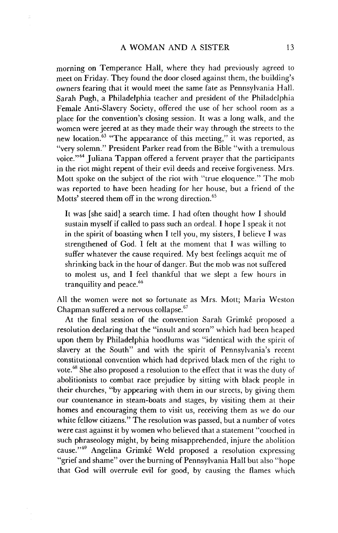morning on Temperance Hall, where they had previously agreed to meet on Friday. They found the door closed against them, the building's owners fearing that it would meet the same fate as Pennsylvania Hall. Sarah Pugh, a Philadelphia teacher and president of the Philadelphia Female Anti-Slavery Society, offered the use of her school room as a place for the convention's closing session. It was a long walk, and the women were jeered at as they made their way through the streets to the new location.<sup>63</sup> "The appearance of this meeting," it was reported, as "very solemn." President Parker read from the Bible "with a tremulous voice."64 Juliana Tappan offered a fervent prayer that the participants in the riot might repent of their evil deeds and receive forgiveness. Mrs. Mott spoke on the subject of the riot with "true eloquence." The mob was reported to have been heading for her house, but a friend of the Motts' steered them off in the wrong direction.<sup>65</sup>

It was [she said] a search time. I had often thought how I should sustain myself if called to pass such an ordeal. I hope I speak it not in the spirit of boasting when I tell you, my sisters, I believe I was strengthened of God. I felt at the moment that I was willing to suffer whatever the cause required. My best feelings acquit me of shrinking back in the hour of danger. But the mob was not suffered to molest us, and I feel thankful that we slept a few hours in tranquility and peace.<sup>66</sup>

All the women were not so fortunate as Mrs. Mott; Maria Weston Chapman suffered a nervous collapse.<sup>67</sup>

At the final session of the convention Sarah Grimké proposed a resolution declaring that the "insult and scorn" which had been heaped upon them by Philadelphia hoodlums was "identical with the spirit of slavery at the South" and with the spirit of Pennsylvania's recent constitutional convention which had deprived black men of the right to vote.<sup>68</sup> She also proposed a resolution to the effect that it was the duty of abolitionists to combat race prejudice by sitting with black people in their churches, "by appearing with them in our streets, by giving them our countenance in steam-boats and stages, by visiting them at their homes and encouraging them to visit us, receiving them as we do our white fellow citizens." The resolution was passed, but a number of votes were cast against it by women who believed that a statement "couched in such phraseology might, by being misapprehended, injure the abolition cause."<sup>69</sup> Angelina Grimké Weld proposed a resolution expressing "grief and shame" over the burning of Pennsylvania Hall but also "hope that God will overrule evil for good, by causing the flames which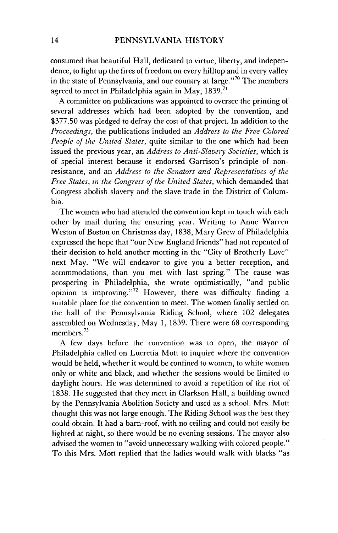consumed that beautiful Hall, dedicated to virtue, liberty, and independence, to light up the fires of freedom on every hilltop and in every valley in the state of Pennsylvania, and our country at large."<sup>70</sup> The members agreed to meet in Philadelphia again in May,  $1839$ .<sup>71</sup>

A committee on publications was appointed to oversee the printing of several addresses which had been adopted by the convention, and \$377.50 was pledged to defray the cost of that project. In addition to the *Proceedings,* the publications included an *Address to the Free Colored People of the United States,* quite similar to the one which had been issued the previous year, an *Address to Anti-Slavery Societies,* which is of special interest because it endorsed Garrison's principle of nonresistance, and an *Address to the Senators and Representatives of the Free States, in the Congress of the United States,* which demanded that Congress abolish slavery and the slave trade in the District of Columbia.

The women who had attended the convention kept in touch with each other by mail during the ensuring year. Writing to Anne Warren Weston of Boston on Christmas day, 1838, Mary Grew of Philadelphia expressed the hope that "our New England friends" had not repented of their decision to hold another meeting in the "City of Brotherly Love" next May. "We will endeavor to give you a better reception, and accommodations, than you met with last spring." The cause was prospering in Philadelphia, she wrote optimistically, "and public opinion is improving."<sup>72</sup> However, there was difficulty finding a suitable place for the convention to meet. The women finally settled on the hall of the Pennsylvania Riding School, where 102 delegates assembled on Wednesday, May 1, 1839. There were 68 corresponding members. $^{73}$ 

A few days before the convention was to open, the mayor of Philadelphia called on Lucretia Mott to inquire where the convention would be held, whether it would be confined to women, to white women only or white and black, and whether the sessions would be limited to daylight hours. He was determined to avoid a repetition of the riot of 1838. He suggested that they meet in Clarkson Hall, a building owned by the Pennsylvania Abolition Society and used as a school. Mrs. Mott thought this was not large enough. The Riding School was the best they could obtain. It had a barn-roof, with no ceiling and could not easily be lighted at night, so there would be no evening sessions. The mayor also advised the women to "avoid unnecessary walking with colored people." To this Mrs. Mott replied that the ladies would walk with blacks "as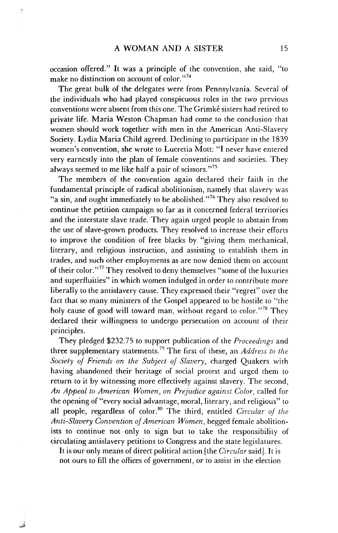1

occasion offered." It was a principle of the convention, she said, "to make no distinction on account of color."<sup>74</sup>

The great bulk of the delegates were from Pennsylvania. Several of the individuals who had played conspicuous roles in the two previous conventions were absent from this one. The Grimke sisters had retired to private life. Maria Weston Chapman had come to the conclusion that women should work together with men in the American Anti-Slavery Society. Lydia Maria Child agreed. Declining to participate in the 1839 women's convention, she wrote to Lucretia Mott: "I never have entered very earnestly into the plan of female conventions and societies. They always seemed to me like half a pair of scissors."<sup>75</sup>

The members of the convention again declared their faith in the fundamental principle of radical abolitionism, namely that slavery was "a sin, and ought immediately to be abolished."<sup>76</sup> They also resolved to continue the petition campaign so far as it concerned federal territories and the interstate slave trade. They again urged people to abstain from the use of slave-grown products. They resolved to increase their efforts to improve the condition of free blacks by "giving them mechanical, literary, and religious instruction, and assisting to establish them in trades, and such other employments as are now denied them on account of their color."<sup>7</sup> 7 They resolved to deny themselves "some of the luxuries and superfluities" in which women indulged in order to contribute more liberally to the antislavery cause. They expressed their "regret" over the fact that so many ministers of the Gospel appeared to be hostile to "the holy cause of good will toward man, without regard to color."<sup>78</sup> They declared their willingness to undergo persecution on account of their principles.

They pledged \$232.75 to support publication of the *Proceedings* and three supplementary statements.<sup>79</sup> The first of these, an *Address to the Society of Friends on the Subject of Slavery,* charged Quakers with having abandoned their heritage of social protest and urged them to return to it by witnessing more effectively against slavery. The second, *An Appeal to American Women, on Prejudice against Color,* called for the opening of "every social advantage, moral, literary, and religious" to all people, regardless of color.<sup>80</sup> The third, entitled *Circular of the Anti-Slavery Convention of American Women,* begged female abolitionists to continue not only to sign but to take the responsibility of circulating antislavery petitions to Congress and the state legislatures.

It is our only means of direct political action [the *Circular* said]. It is not ours to fill the offices of government, or to assist in the election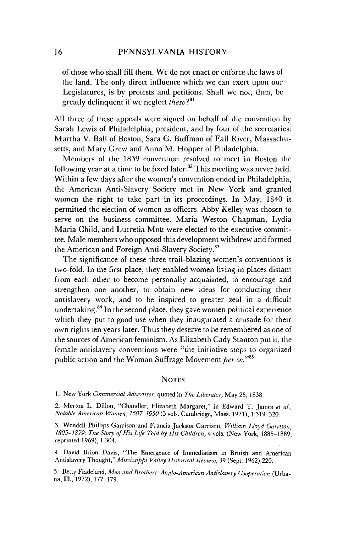of those who shall fill them. We do not enact or enforce the laws of the land. The only direct influence which we can exert upon our Legislatures, is by protests and petitions. Shall we not, then, be greatly delinquent if we neglect *these?8 "*

All three of these appeals were signed on behalf of the convention by Sarah Lewis of Philadelphia, president, and by four of the secretaries: Martha V. Ball of Boston, Sara G. Buffman of Fall River, Massachusetts, and Mary Grew and Anna M. Hopper of Philadelphia.

Members of the 1839 convention resolved to meet in Boston the following year at a time to be fixed later.<sup>82</sup> This meeting was never held. Within a few days after the women's convention ended in Philadelphia, the American Anti-Slavery Society met in New York and granted women the right to take part in its proceedings. In May, 1840 it permitted the election of women as officers. Abby Kelley was chosen to serve on the business committee. Maria Weston Chapman, Lydia Maria Child, and Lucretia Mott were elected to the executive committee. Male members who opposed this development withdrew and formed the American and Foreign Anti-Slavery Society.<sup>83</sup>

The significance of these three trail-blazing women's conventions is two-fold. In the first place, they enabled women living in places distant from each other to become personally acquainted, to encourage and strengthen one another, to obtain new ideas for conducting their antislavery work, and to be inspired to greater zeal in a difficult undertaking.<sup>84</sup> In the second place, they gave women political experience which they put to good use when they inaugurated a crusade for their own rights ten years later. Thus they deserve to be remembered as one of the sources of American feminism. As Elizabeth Cady Stanton put it, the female antislavery conventions were "the initiative steps to organized public action and the Woman Suffrage Movement *per se."85*

## **NOTES**

1. New York *Commercial Advertiser,* quoted in *The Liberator,* May 25, 1838.

2. Merton L. Dillon, "Chandler, Elizabeth Margaret," in Edward T. James *et al., Notable American Women, 1607-1950* (3 vols. Cambridge, Mass. 1971),1:319-320.

3. Wendell Phillips Garrison and Francis Jackson Garrison, *William Lloyd Garrison, 1805-1879: The Story of His Life Told by His Children,* 4 vols. (New York, 1885-1889, reprinted 1969), 1:304.

4. David Brion Davis, "The Emergence of Immediatism in British and American Antislavery Thought," *Mississippi Valley Historical Review,* 39 (Sept. 1962):220.

5. Betty Fladeland, *Men and Brothers: Anglo-American Antislavery Cooperation* (Urbana, Ill., 1972), 177-179.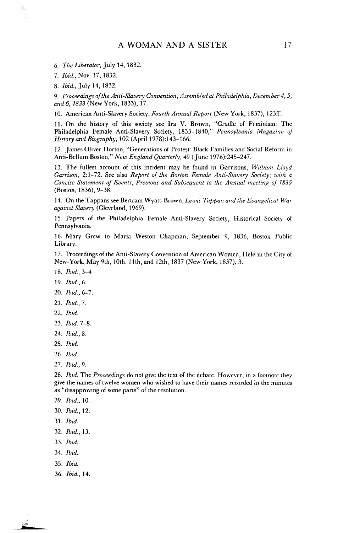6. *The Liberator,* July 14,1832.

*7. Ibid.,* Nov. 17, 1832.

8. *Ibid.,* July 14, 1832.

*9. Proceedings of the Anti-Slavery Convention, Assembled at Philadelphia, December 4,5, and 6, 1833* (New York, 1833), 17.

10. American Anti-Slavery Society, *Fourth Annual Report* (New York, 1837), 123ff.

11. On the history of this society see Ira V. Brown, "Cradle of Feminism: The Philadelphia Female Anti-Slavery Society, 1833-1840," *Pennsylvania Magazine of History and Biography,* 102 (April 1978):143-166.

12. James Oliver Horton, "Generations of Protest: Black Families and Social Reform in Anti-Bellum Boston," *New England Quarterly,* 49 (June 1976):245-247.

13. The fullest account of this incident may be found in Garrisons, *William Lloyd Garrison,* 2:1-72. See also *Report of the Boston Female Anti-Slavery Society; with a Concise Statement of Events, Previous and Subsequent to the Annual meeting of 1835* (Boston, 1836), 9-38.

14. On the Tappans see Bertram Wyatt-Brown, *Lewis Tappan and the Evangelical War against Slavery* (Cleveland, 1969).

15. Papers of the Philadelphia Female Anti-Slavery Society, Historical Society of Pennsylvania.

16. Mary Grew to Maria Weston Chapman, September 9, 1836, Boston Public Library.

17. Proceedings of the Anti-Slavery Convention of American Women, Held in the City of New-York, May 9th, 10th, 11th, and 12th, 1837 (New York, 1837), 3.

18. *Ibid.,* 3-4

19. *Ibid., 6.*

- 20. *Ibid.,* 6-7.
- 21. *Ibid.,* 7.
- 22. *Ibid.*
- 23. *Ibid.* 7-8.
- 24. *Ibid.,* 8.
- 25. *Ibid.*

26. *Ibid.*

27. *Ibid.,* 9.

28. *Ibid.* The *Proceedings* do not give the text of the debate. However, in a footnote they give the names of twelve women who wished to have their names recorded in the minutes as "disapproving of some parts" of the resolution.

29. *Ibid.,* 10.

- 30. *Ibid.,* 12.
- 31. *Ibid.*
- 32. *Ibid.,* 13.
- 33. *Ibid.*
- 34. *Ibid.*
- 35. *Ibid.*

کی

36. *Ibid.,* 14.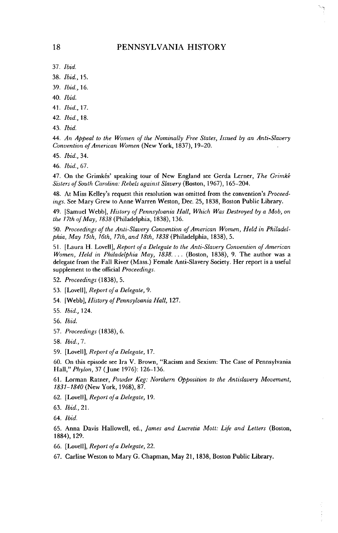## PENNSYLVANIA HISTORY

- 37. *Ibid.*
- 38. *Ibid.,* 15.
- 39. *Ibid.,* 16.
- 40. Ibid.
- 41. *Ibid.,* 17.
- 42. *Ibid.,* 18.
- 43. *Ibid.*

44. *An Appeal to the Women of the Nominally Free States, Issued by an Anti-Slavery Convention of American Women* (New York, 1837), 19-20.

- 45. *Ibid.,* 34.
- 46. *Ibid.,* 67.

47. On the Grimkés' speaking tour of New England see Gerda Lerner, *The Grimké Sisters of South Carolina: Rebels against Slavery* (Boston, 1967), 165-204.

48. At Miss Kelley's request this resolution was omitted from the convention's *Proceedings.* See Mary Grew to Anne Warren Weston, Dec. 25, 1838, Boston Public Library.

49. [Samuel Webb], *History of Pennsylvania Hall, Which Was Destroyed by a Mob, on the 17th of May, 1838* (Philadelphia, 1838), 136.

50. *Proceedings of the Anti-Slavery Convention of American Women, Held in Philadelphia, May 15th, 16th, 17th, and 18th, 1838* (Philadelphia, 1838), 5.

51. [Laura H. Lovell], *Report of a Delegate to the Anti-Slavery Convention of American Women, Held in Philadelphia May, 1838....* (Boston, 1838), 9. The author was a delegate from the Fall River (Mass.) Female Anti-Slavery Society. Her report is a useful supplement to the official *Proceedings.*

- 52. *Proceedings* (1838), 5.
- 53. [Lovell], *Report of a Delegate,* 9.
- 54. [Webb], *History of Pennsylvania Hall,* 127.
- 55. *Ibid.,* 124.
- 56. *Ibid.*
- 57. *Proceedings* (1838), 6.
- 58. *Ibid., 7.*
- 59. [Lovell], *Report of a Delegate,* 17.

60. On this episode see Ira V. Brown, "Racism and Sexism: The Case of Pennsylvania Hall," *Phylon,* 37 (June 1976): 126-136.

61. Lorman Ratner, *Powder Keg: Northern Opposition to the Antislavery Movement, 1831-1840* (New York, 1968), 87.

- 62. [Lovell], *Report of a Delegate,* 19.
- 63. *Ibid,* 21.
- 64. *Ibid.*

65. Anna Davis Hallowell, ed., *fames and Lucretia Mott: Life and Letters* (Boston, 1884), 129.

- 66. [Lovell], *Report of a Delegate,* 22.
- 67. Carline Weston to Mary G. Chapman, May 21, 1838, Boston Public Library.

18